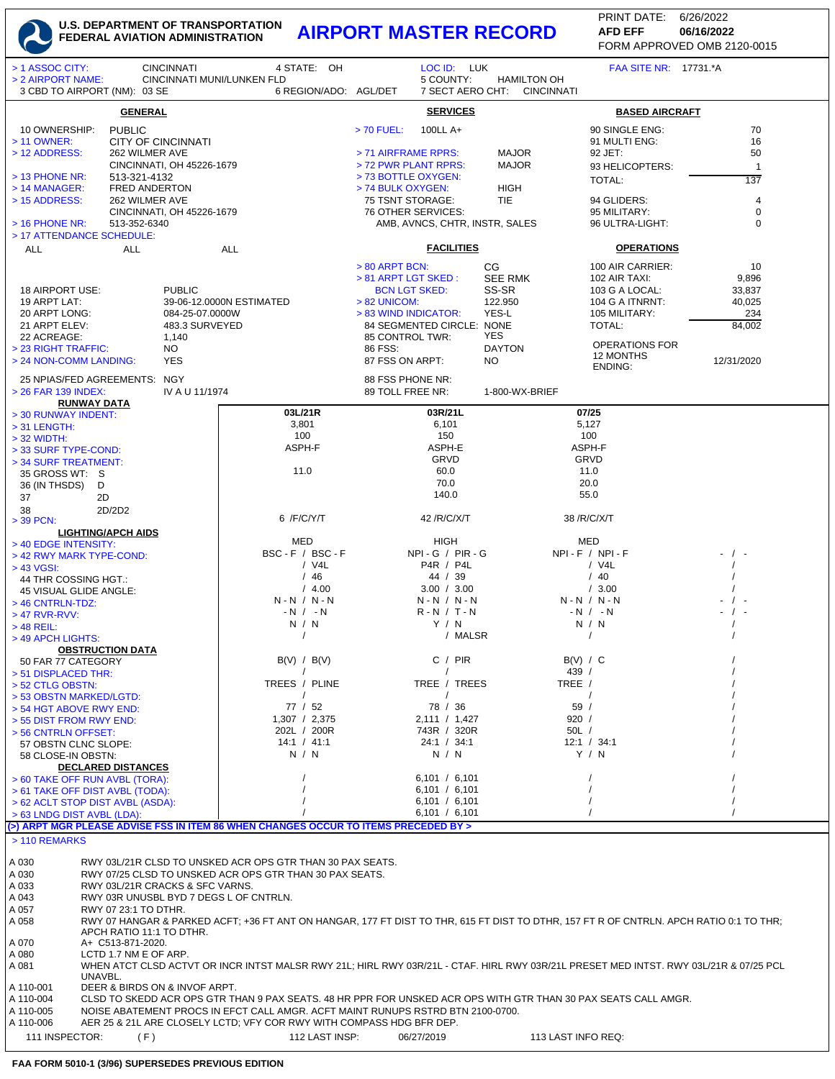## U.S. DEPARTMENT OF TRANSPORTATION<br>FEDERAL AVIATION ADMINISTRATION **AIRPORT MASTER RECORD**

PRINT DATE: 6/26/2022 **AFD EFF** 06/16/2022 FORM APPROVED OMB 2120-0015

| > 1 ASSOC CITY:<br><b>CINCINNATI</b>                                                                                                                                             | 4 STATE: OH                                                                                                    |                                                            | LOC ID: LUK                                       | FAA SITE NR: 17731.*A             |                                |  |  |
|----------------------------------------------------------------------------------------------------------------------------------------------------------------------------------|----------------------------------------------------------------------------------------------------------------|------------------------------------------------------------|---------------------------------------------------|-----------------------------------|--------------------------------|--|--|
| > 2 AIRPORT NAME:<br>3 CBD TO AIRPORT (NM): 03 SE                                                                                                                                | CINCINNATI MUNI/LUNKEN FLD<br>6 REGION/ADO: AGL/DET                                                            | 5 COUNTY:                                                  | <b>HAMILTON OH</b><br>7 SECT AERO CHT: CINCINNATI |                                   |                                |  |  |
| <b>GENERAL</b>                                                                                                                                                                   | <b>SERVICES</b>                                                                                                |                                                            |                                                   | <b>BASED AIRCRAFT</b>             |                                |  |  |
| 10 OWNERSHIP:<br><b>PUBLIC</b>                                                                                                                                                   |                                                                                                                | 100LL A+<br>$> 70$ FUEL:                                   |                                                   | 90 SINGLE ENG:                    | 70                             |  |  |
| <b>CITY OF CINCINNATI</b><br>> 11 OWNER:<br>> 12 ADDRESS:<br>262 WILMER AVE                                                                                                      |                                                                                                                | > 71 AIRFRAME RPRS:                                        | <b>MAJOR</b>                                      | 91 MULTI ENG:<br>92 JET:          | 16<br>50                       |  |  |
| CINCINNATI, OH 45226-1679                                                                                                                                                        |                                                                                                                | > 72 PWR PLANT RPRS:                                       | <b>MAJOR</b>                                      | 93 HELICOPTERS:                   | $\mathbf{1}$                   |  |  |
| > 13 PHONE NR:<br>513-321-4132                                                                                                                                                   |                                                                                                                | > 73 BOTTLE OXYGEN:                                        |                                                   | TOTAL:                            | 137                            |  |  |
| > 14 MANAGER:<br><b>FRED ANDERTON</b><br>> 15 ADDRESS:<br>262 WILMER AVE                                                                                                         |                                                                                                                | > 74 BULK OXYGEN:<br>75 TSNT STORAGE:                      | <b>HIGH</b><br><b>TIE</b>                         | 94 GLIDERS:                       | 4                              |  |  |
| CINCINNATI, OH 45226-1679                                                                                                                                                        |                                                                                                                | 76 OTHER SERVICES:                                         |                                                   | 95 MILITARY:                      | 0                              |  |  |
| > 16 PHONE NR:<br>513-352-6340                                                                                                                                                   |                                                                                                                |                                                            | AMB, AVNCS, CHTR, INSTR, SALES                    |                                   | $\mathbf 0$<br>96 ULTRA-LIGHT: |  |  |
| > 17 ATTENDANCE SCHEDULE:<br><b>ALL</b><br><b>ALL</b>                                                                                                                            | <b>ALL</b>                                                                                                     | <b>FACILITIES</b>                                          |                                                   |                                   | <b>OPERATIONS</b>              |  |  |
|                                                                                                                                                                                  |                                                                                                                | $> 80$ ARPT BCN:                                           | CG                                                | 100 AIR CARRIER:                  | 10                             |  |  |
|                                                                                                                                                                                  |                                                                                                                | > 81 ARPT LGT SKED:                                        | <b>SEE RMK</b>                                    | 102 AIR TAXI:                     | 9,896                          |  |  |
| 18 AIRPORT USE:<br><b>PUBLIC</b>                                                                                                                                                 |                                                                                                                | <b>BCN LGT SKED:</b>                                       | SS-SR                                             | 103 G A LOCAL:                    | 33,837                         |  |  |
| 19 ARPT LAT:<br>39-06-12.0000N ESTIMATED<br>20 ARPT LONG:<br>084-25-07.0000W                                                                                                     |                                                                                                                | 122.950<br>$> 82$ UNICOM:<br>YES-L<br>> 83 WIND INDICATOR: |                                                   | 104 G A ITNRNT:<br>105 MILITARY:  | 40,025<br>234                  |  |  |
| 21 ARPT ELEV:<br>483.3 SURVEYED                                                                                                                                                  |                                                                                                                | 84 SEGMENTED CIRCLE: NONE                                  |                                                   | TOTAL:                            | 84,002                         |  |  |
| 22 ACREAGE:<br>1,140                                                                                                                                                             |                                                                                                                | 85 CONTROL TWR:<br>86 FSS:                                 | YES<br><b>DAYTON</b>                              | <b>OPERATIONS FOR</b>             |                                |  |  |
| > 23 RIGHT TRAFFIC:<br>NO.<br>> 24 NON-COMM LANDING:<br><b>YES</b>                                                                                                               |                                                                                                                | 87 FSS ON ARPT:                                            | NO.                                               | 12 MONTHS                         | 12/31/2020                     |  |  |
| 25 NPIAS/FED AGREEMENTS: NGY                                                                                                                                                     |                                                                                                                | 88 FSS PHONE NR:                                           |                                                   | ENDING:                           |                                |  |  |
| > 26 FAR 139 INDEX:<br>IV A U 11/1974                                                                                                                                            |                                                                                                                | 89 TOLL FREE NR:                                           | 1-800-WX-BRIEF                                    |                                   |                                |  |  |
| <b>RUNWAY DATA</b>                                                                                                                                                               | 03L/21R                                                                                                        | 03R/21L                                                    |                                                   | 07/25                             |                                |  |  |
| > 30 RUNWAY INDENT:<br>$>$ 31 LENGTH:                                                                                                                                            | 3,801                                                                                                          | 6,101                                                      |                                                   | 5,127                             |                                |  |  |
| $>$ 32 WIDTH:                                                                                                                                                                    | 100                                                                                                            | 150                                                        |                                                   | 100                               |                                |  |  |
| > 33 SURF TYPE-COND:                                                                                                                                                             | ASPH-F                                                                                                         | ASPH-E<br><b>GRVD</b>                                      |                                                   | ASPH-F<br>GRVD                    |                                |  |  |
| > 34 SURF TREATMENT:<br>35 GROSS WT: S                                                                                                                                           | 11.0                                                                                                           | 60.0                                                       |                                                   | 11.0                              |                                |  |  |
| 36 (IN THSDS)<br>D                                                                                                                                                               |                                                                                                                | 70.0                                                       |                                                   | 20.0                              |                                |  |  |
| 2D<br>37                                                                                                                                                                         |                                                                                                                | 140.0                                                      |                                                   | 55.0                              |                                |  |  |
| 2D/2D2<br>38<br>> 39 PCN:                                                                                                                                                        | 6 /F/C/Y/T                                                                                                     | 42 / R/ C/ X/ T                                            |                                                   | 38 / R/ C/ X/ T                   |                                |  |  |
| <b>LIGHTING/APCH AIDS</b>                                                                                                                                                        |                                                                                                                |                                                            |                                                   |                                   |                                |  |  |
| > 40 EDGE INTENSITY:                                                                                                                                                             | <b>MED</b><br>BSC-F / BSC-F                                                                                    | <b>HIGH</b><br>NPI-G / PIR-G                               |                                                   | <b>MED</b><br>$NPI - F / NPI - F$ |                                |  |  |
| > 42 RWY MARK TYPE-COND:<br>> 43 VGSI:                                                                                                                                           | $/$ V4L                                                                                                        | P4R / P4L                                                  |                                                   | / V4L                             |                                |  |  |
| 44 THR COSSING HGT.:                                                                                                                                                             | /46                                                                                                            | 44 / 39                                                    |                                                   | /40                               |                                |  |  |
| 45 VISUAL GLIDE ANGLE:<br>> 46 CNTRLN-TDZ:                                                                                                                                       | /4.00<br>$N - N / N - N$                                                                                       | 3.00 / 3.00<br>$N - N / N - N$                             |                                                   | /3.00<br>$N - N / N - N$          |                                |  |  |
| $>$ 47 RVR-RVV:                                                                                                                                                                  | $-N$ / $-N$                                                                                                    | $R - N / T - N$                                            |                                                   | $-N$ / $-N$                       |                                |  |  |
| $>$ 48 REIL:                                                                                                                                                                     | N / N                                                                                                          | Y / N                                                      | / MALSR                                           | N / N                             |                                |  |  |
| > 49 APCH LIGHTS:<br><b>OBSTRUCTION DATA</b>                                                                                                                                     |                                                                                                                |                                                            |                                                   |                                   |                                |  |  |
| 50 FAR 77 CATEGORY                                                                                                                                                               | B(V) / B(V)                                                                                                    |                                                            | C / PIR                                           | B(V) / C                          |                                |  |  |
| > 51 DISPLACED THR:                                                                                                                                                              | TREES / PLINE                                                                                                  |                                                            | TREE / TREES                                      | 439 /<br>TREE /                   |                                |  |  |
| > 52 CTLG OBSTN:<br>> 53 OBSTN MARKED/LGTD:                                                                                                                                      | $\prime$                                                                                                       |                                                            |                                                   |                                   |                                |  |  |
| > 54 HGT ABOVE RWY END:                                                                                                                                                          | 77 / 52                                                                                                        | 78 / 36                                                    |                                                   | 59/                               |                                |  |  |
| > 55 DIST FROM RWY END:<br>> 56 CNTRLN OFFSET:                                                                                                                                   | 1,307 / 2,375<br>202L / 200R                                                                                   | 2,111 / 1,427<br>743R / 320R                               |                                                   | 920 /<br>50L /                    |                                |  |  |
| 57 OBSTN CLNC SLOPE:                                                                                                                                                             | 14:1 / 41:1                                                                                                    | 24:1 / 34:1                                                |                                                   | 12:1 / 34:1                       |                                |  |  |
| 58 CLOSE-IN OBSTN:                                                                                                                                                               | N / N                                                                                                          | N / N                                                      |                                                   | Y / N                             |                                |  |  |
| <b>DECLARED DISTANCES</b><br>> 60 TAKE OFF RUN AVBL (TORA):                                                                                                                      |                                                                                                                | 6,101 / 6,101                                              |                                                   |                                   |                                |  |  |
| > 61 TAKE OFF DIST AVBL (TODA):                                                                                                                                                  |                                                                                                                | 6,101 / 6,101                                              |                                                   |                                   |                                |  |  |
| > 62 ACLT STOP DIST AVBL (ASDA):                                                                                                                                                 |                                                                                                                | 6,101 / 6,101                                              |                                                   |                                   |                                |  |  |
| > 63 LNDG DIST AVBL (LDA):<br>(>) ARPT MGR PLEASE ADVISE FSS IN ITEM 86 WHEN CHANGES OCCUR TO ITEMS PRECEDED BY >                                                                |                                                                                                                | 6,101 / 6,101                                              |                                                   |                                   |                                |  |  |
| > 110 REMARKS                                                                                                                                                                    |                                                                                                                |                                                            |                                                   |                                   |                                |  |  |
|                                                                                                                                                                                  |                                                                                                                |                                                            |                                                   |                                   |                                |  |  |
| A 030<br>RWY 03L/21R CLSD TO UNSKED ACR OPS GTR THAN 30 PAX SEATS.<br>A 030<br>RWY 07/25 CLSD TO UNSKED ACR OPS GTR THAN 30 PAX SEATS.                                           |                                                                                                                |                                                            |                                                   |                                   |                                |  |  |
| A 033<br>RWY 03L/21R CRACKS & SFC VARNS.                                                                                                                                         |                                                                                                                |                                                            |                                                   |                                   |                                |  |  |
| A 043<br>RWY 03R UNUSBL BYD 7 DEGS L OF CNTRLN.                                                                                                                                  |                                                                                                                |                                                            |                                                   |                                   |                                |  |  |
| A 057<br>RWY 07 23:1 TO DTHR.<br>RWY 07 HANGAR & PARKED ACFT; +36 FT ANT ON HANGAR, 177 FT DIST TO THR, 615 FT DIST TO DTHR, 157 FT R OF CNTRLN. APCH RATIO 0:1 TO THR;<br>A 058 |                                                                                                                |                                                            |                                                   |                                   |                                |  |  |
| APCH RATIO 11:1 TO DTHR.                                                                                                                                                         |                                                                                                                |                                                            |                                                   |                                   |                                |  |  |
| A 070<br>A+ C513-871-2020.<br>A 080<br>LCTD 1.7 NM E OF ARP.                                                                                                                     |                                                                                                                |                                                            |                                                   |                                   |                                |  |  |
| A 081<br>WHEN ATCT CLSD ACTVT OR INCR INTST MALSR RWY 21L; HIRL RWY 03R/21L - CTAF. HIRL RWY 03R/21L PRESET MED INTST. RWY 03L/21R & 07/25 PCL                                   |                                                                                                                |                                                            |                                                   |                                   |                                |  |  |
| UNAVBL.<br>DEER & BIRDS ON & INVOF ARPT.<br>A 110-001                                                                                                                            |                                                                                                                |                                                            |                                                   |                                   |                                |  |  |
| A 110-004                                                                                                                                                                        | CLSD TO SKEDD ACR OPS GTR THAN 9 PAX SEATS. 48 HR PPR FOR UNSKED ACR OPS WITH GTR THAN 30 PAX SEATS CALL AMGR. |                                                            |                                                   |                                   |                                |  |  |
| A 110-005<br>NOISE ABATEMENT PROCS IN EFCT CALL AMGR. ACFT MAINT RUNUPS RSTRD BTN 2100-0700.                                                                                     |                                                                                                                |                                                            |                                                   |                                   |                                |  |  |
| A 110-006                                                                                                                                                                        | AER 25 & 21L ARE CLOSELY LCTD; VFY COR RWY WITH COMPASS HDG BFR DEP.                                           |                                                            |                                                   |                                   |                                |  |  |
| 111 INSPECTOR:<br>(F)                                                                                                                                                            | 112 LAST INSP:                                                                                                 | 06/27/2019                                                 |                                                   | 113 LAST INFO REQ:                |                                |  |  |